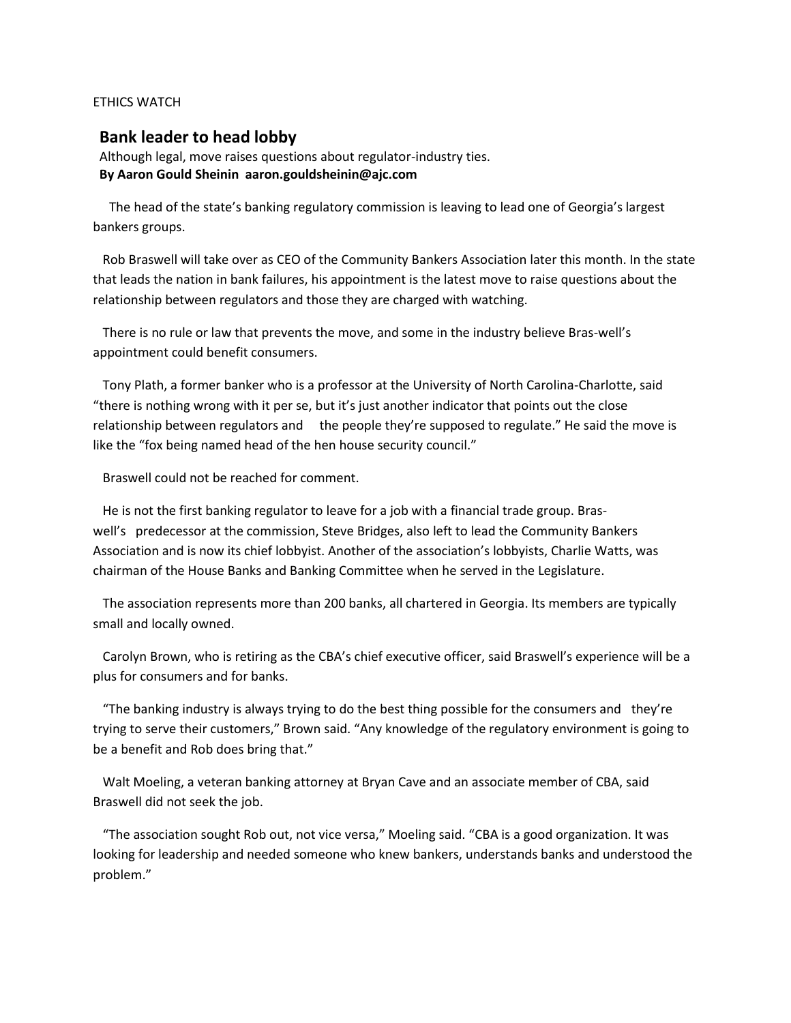## ETHICS WATCH

## **Bank leader to head lobby**

Although legal, move raises questions about regulator-industry ties. **By Aaron Gould Sheinin aaron.gouldsheinin@ajc.com** 

 The head of the state's banking regulatory commission is leaving to lead one of Georgia's largest bankers groups.

 Rob Braswell will take over as CEO of the Community Bankers Association later this month. In the state that leads the nation in bank failures, his appointment is the latest move to raise questions about the relationship between regulators and those they are charged with watching.

 There is no rule or law that prevents the move, and some in the industry believe Bras-well's appointment could benefit consumers.

 Tony Plath, a former banker who is a professor at the University of North Carolina-Charlotte, said "there is nothing wrong with it per se, but it's just another indicator that points out the close relationship between regulators and the people they're supposed to regulate." He said the move is like the "fox being named head of the hen house security council."

Braswell could not be reached for comment.

 He is not the first banking regulator to leave for a job with a financial trade group. Braswell's predecessor at the commission, Steve Bridges, also left to lead the Community Bankers Association and is now its chief lobbyist. Another of the association's lobbyists, Charlie Watts, was chairman of the House Banks and Banking Committee when he served in the Legislature.

 The association represents more than 200 banks, all chartered in Georgia. Its members are typically small and locally owned.

 Carolyn Brown, who is retiring as the CBA's chief executive officer, said Braswell's experience will be a plus for consumers and for banks.

 "The banking industry is always trying to do the best thing possible for the consumers and they're trying to serve their customers," Brown said. "Any knowledge of the regulatory environment is going to be a benefit and Rob does bring that."

 Walt Moeling, a veteran banking attorney at Bryan Cave and an associate member of CBA, said Braswell did not seek the job.

 "The association sought Rob out, not vice versa," Moeling said. "CBA is a good organization. It was looking for leadership and needed someone who knew bankers, understands banks and understood the problem."